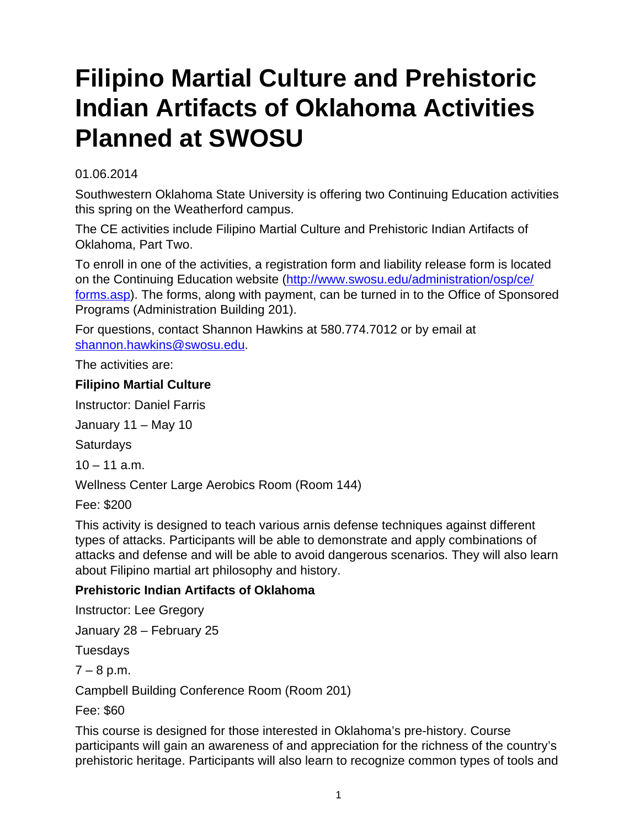## **Filipino Martial Culture and Prehistoric Indian Artifacts of Oklahoma Activities Planned at SWOSU**

## 01.06.2014

Southwestern Oklahoma State University is offering two Continuing Education activities this spring on the Weatherford campus.

The CE activities include Filipino Martial Culture and Prehistoric Indian Artifacts of Oklahoma, Part Two.

To enroll in one of the activities, a registration form and liability release form is located on the Continuing Education website [\(http://www.swosu.edu/administration/osp/ce/](http://www.swosu.edu/administration/osp/ce/forms.asp) [forms.asp\)](http://www.swosu.edu/administration/osp/ce/forms.asp). The forms, along with payment, can be turned in to the Office of Sponsored Programs (Administration Building 201).

For questions, contact Shannon Hawkins at 580.774.7012 or by email at [shannon.hawkins@swosu.edu](mailto:shannon.hawkins@swosu.edu).

The activities are:

## **Filipino Martial Culture**

Instructor: Daniel Farris

January 11 – May 10

**Saturdays** 

 $10 - 11$  a.m.

Wellness Center Large Aerobics Room (Room 144)

Fee: \$200

This activity is designed to teach various arnis defense techniques against different types of attacks. Participants will be able to demonstrate and apply combinations of attacks and defense and will be able to avoid dangerous scenarios. They will also learn about Filipino martial art philosophy and history.

## **Prehistoric Indian Artifacts of Oklahoma**

Instructor: Lee Gregory

January 28 – February 25

Tuesdays

 $7 - 8$  p.m.

Campbell Building Conference Room (Room 201)

Fee: \$60

This course is designed for those interested in Oklahoma's pre-history. Course participants will gain an awareness of and appreciation for the richness of the country's prehistoric heritage. Participants will also learn to recognize common types of tools and